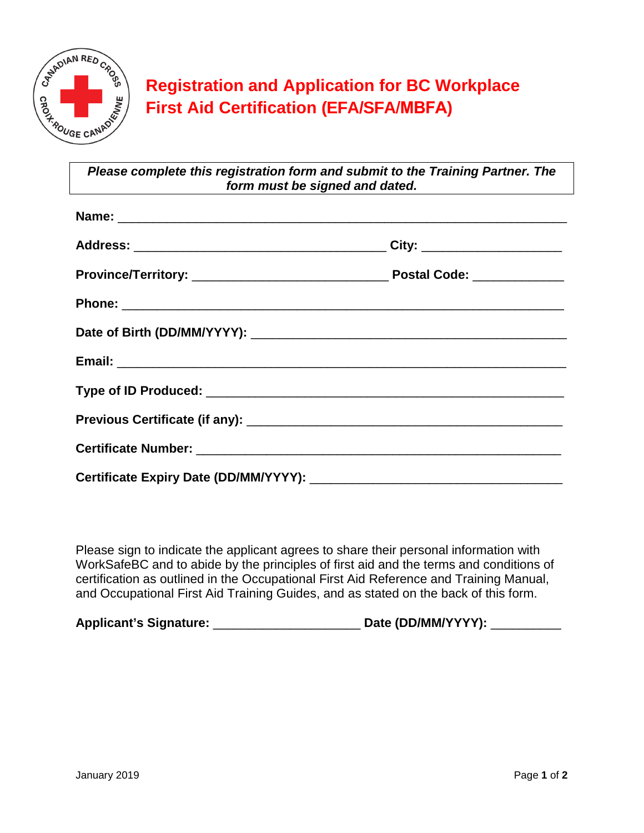

## **Registration and Application for BC Workplace First Aid Certification (EFA/SFA/MBFA)**

*Please complete this registration form and submit to the Training Partner. The form must be signed and dated.*

| City: _______________________ |  |
|-------------------------------|--|
|                               |  |
|                               |  |
|                               |  |
|                               |  |
|                               |  |
|                               |  |
|                               |  |
|                               |  |

Please sign to indicate the applicant agrees to share their personal information with WorkSafeBC and to abide by the principles of first aid and the terms and conditions of certification as outlined in the Occupational First Aid Reference and Training Manual, and Occupational First Aid Training Guides, and as stated on the back of this form.

**Applicant's Signature:** \_\_\_\_\_\_\_\_\_\_\_\_\_\_\_\_\_\_\_\_\_ **Date (DD/MM/YYYY):** \_\_\_\_\_\_\_\_\_\_